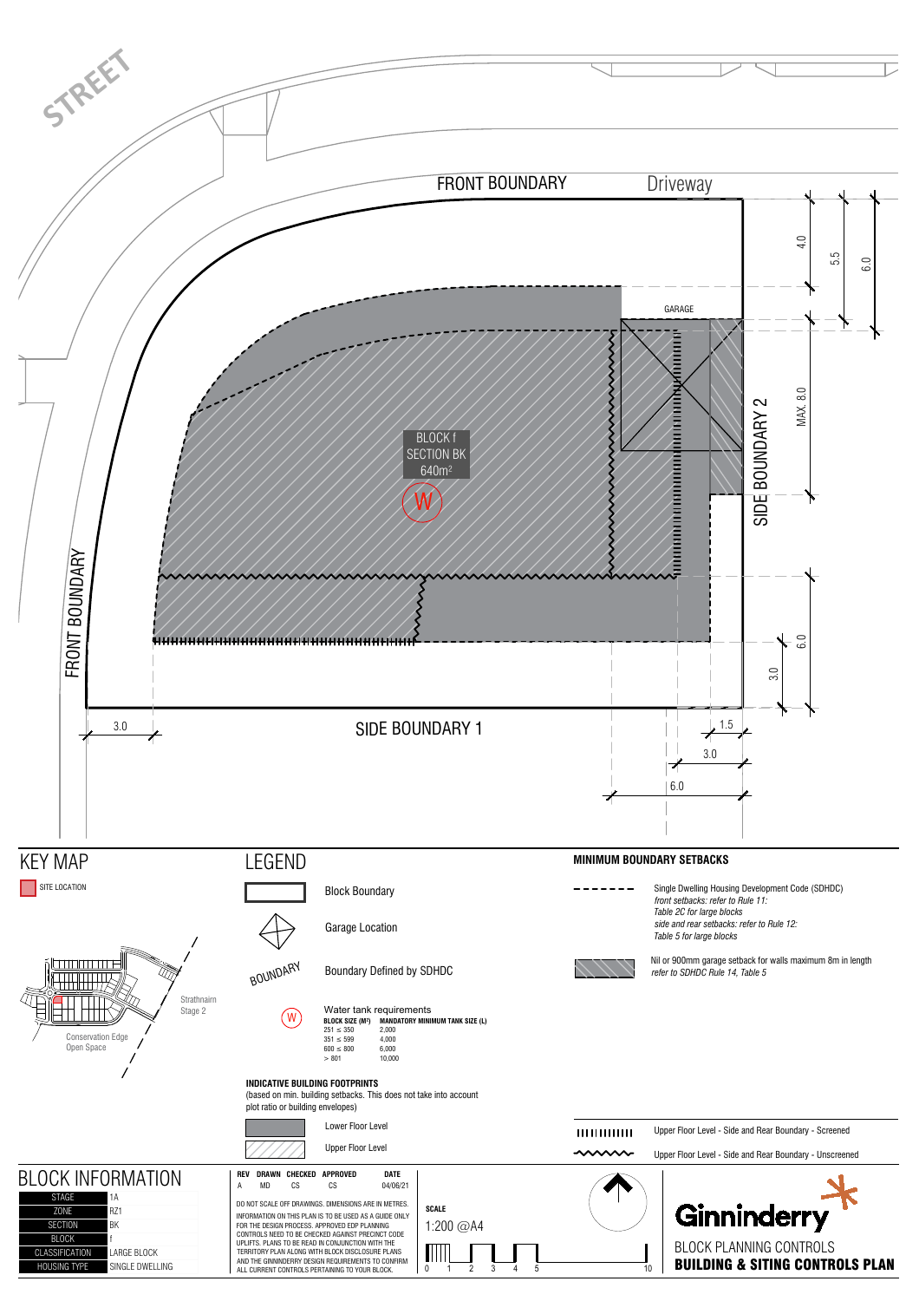